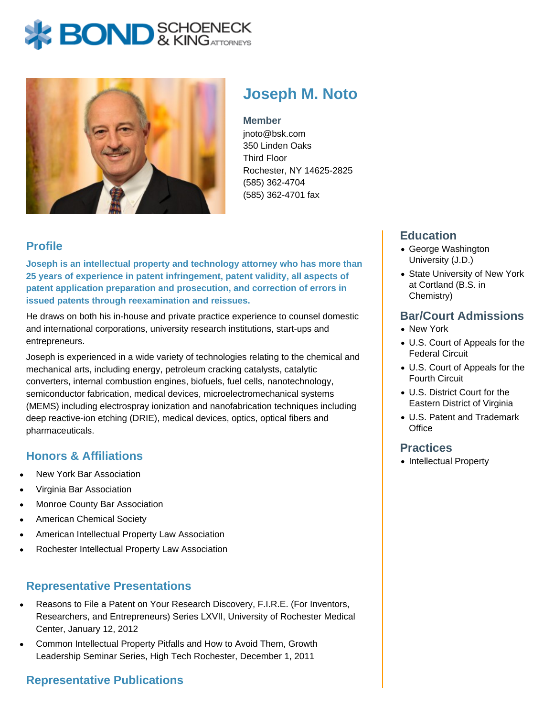# **BOND** & KINGATTORNECK



# **Joseph M. Noto**

**Member** jnoto@bsk.com 350 Linden Oaks Third Floor Rochester, NY 14625-2825

(585) 362-4704 (585) 362-4701 fax

## **Profile**

**Joseph is an intellectual property and technology attorney who has more than 25 years of experience in patent infringement, patent validity, all aspects of patent application preparation and prosecution, and correction of errors in issued patents through reexamination and reissues.** 

He draws on both his in-house and private practice experience to counsel domestic and international corporations, university research institutions, start-ups and entrepreneurs.

Joseph is experienced in a wide variety of technologies relating to the chemical and mechanical arts, including energy, petroleum cracking catalysts, catalytic converters, internal combustion engines, biofuels, fuel cells, nanotechnology, semiconductor fabrication, medical devices, microelectromechanical systems (MEMS) including electrospray ionization and nanofabrication techniques including deep reactive-ion etching (DRIE), medical devices, optics, optical fibers and pharmaceuticals.

#### **Honors & Affiliations**

- New York Bar Association
- Virginia Bar Association
- Monroe County Bar Association
- American Chemical Society
- American Intellectual Property Law Association
- Rochester Intellectual Property Law Association

### **Representative Presentations**

- Reasons to File a Patent on Your Research Discovery, F.I.R.E. (For Inventors, Researchers, and Entrepreneurs) Series LXVII, University of Rochester Medical Center, January 12, 2012
- Common Intellectual Property Pitfalls and How to Avoid Them, Growth Leadership Seminar Series, High Tech Rochester, December 1, 2011

### **Representative Publications**

### **Education**

- George Washington University (J.D.)
- State University of New York at Cortland (B.S. in Chemistry)

#### **Bar/Court Admissions**

- New York
- U.S. Court of Appeals for the Federal Circuit
- U.S. Court of Appeals for the Fourth Circuit
- U.S. District Court for the Eastern District of Virginia
- U.S. Patent and Trademark **Office**

#### **Practices**

• Intellectual Property